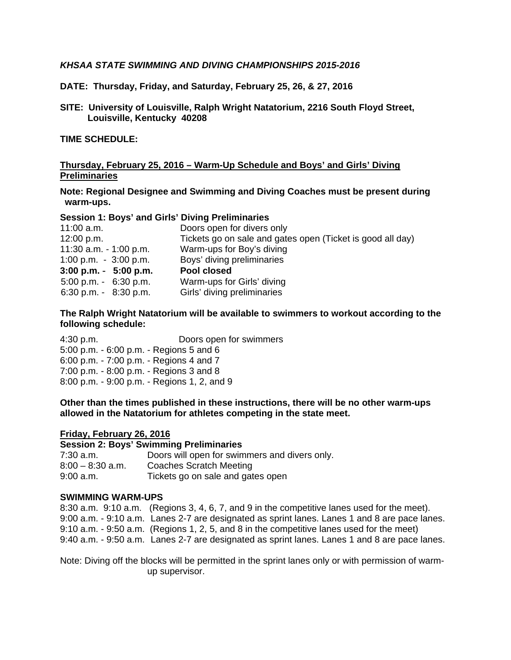# *KHSAA STATE SWIMMING AND DIVING CHAMPIONSHIPS 2015-2016*

**DATE: Thursday, Friday, and Saturday, February 25, 26, & 27, 2016** 

**SITE: University of Louisville, Ralph Wright Natatorium, 2216 South Floyd Street, Louisville, Kentucky 40208** 

**TIME SCHEDULE:** 

# **Thursday, February 25, 2016 – Warm-Up Schedule and Boys' and Girls' Diving Preliminaries**

**Note: Regional Designee and Swimming and Diving Coaches must be present during warm-ups.** 

#### **Session 1: Boys' and Girls' Diving Preliminaries**

| $11:00$ a.m.             | Doors open for divers only                                 |
|--------------------------|------------------------------------------------------------|
| 12:00 p.m.               | Tickets go on sale and gates open (Ticket is good all day) |
| 11:30 a.m. $-1:00$ p.m.  | Warm-ups for Boy's diving                                  |
| 1:00 p.m. $-3:00$ p.m.   | Boys' diving preliminaries                                 |
| $3:00$ p.m. $-5:00$ p.m. | Pool closed                                                |
| $5:00$ p.m. $-6:30$ p.m. | Warm-ups for Girls' diving                                 |
| 6:30 p.m. $-8:30$ p.m.   | Girls' diving preliminaries                                |
|                          |                                                            |

#### **The Ralph Wright Natatorium will be available to swimmers to workout according to the following schedule:**

4:30 p.m. Doors open for swimmers 5:00 p.m. - 6:00 p.m. - Regions 5 and 6 6:00 p.m. - 7:00 p.m. - Regions 4 and 7 7:00 p.m. - 8:00 p.m. - Regions 3 and 8 8:00 p.m. - 9:00 p.m. - Regions 1, 2, and 9

**Other than the times published in these instructions, there will be no other warm-ups allowed in the Natatorium for athletes competing in the state meet.** 

#### **Friday, February 26, 2016**

#### **Session 2: Boys' Swimming Preliminaries**

| 7:30 a.m.          | Doors will open for swimmers and divers only. |
|--------------------|-----------------------------------------------|
| $8:00 - 8:30$ a.m. | Coaches Scratch Meeting                       |
| $9:00$ a.m.        | Tickets go on sale and gates open             |

#### **SWIMMING WARM-UPS**

8:30 a.m. 9:10 a.m. (Regions 3, 4, 6, 7, and 9 in the competitive lanes used for the meet). 9:00 a.m. - 9:10 a.m. Lanes 2-7 are designated as sprint lanes. Lanes 1 and 8 are pace lanes. 9:10 a.m. - 9:50 a.m. (Regions 1, 2, 5, and 8 in the competitive lanes used for the meet) 9:40 a.m. - 9:50 a.m. Lanes 2-7 are designated as sprint lanes. Lanes 1 and 8 are pace lanes.

Note: Diving off the blocks will be permitted in the sprint lanes only or with permission of warmup supervisor.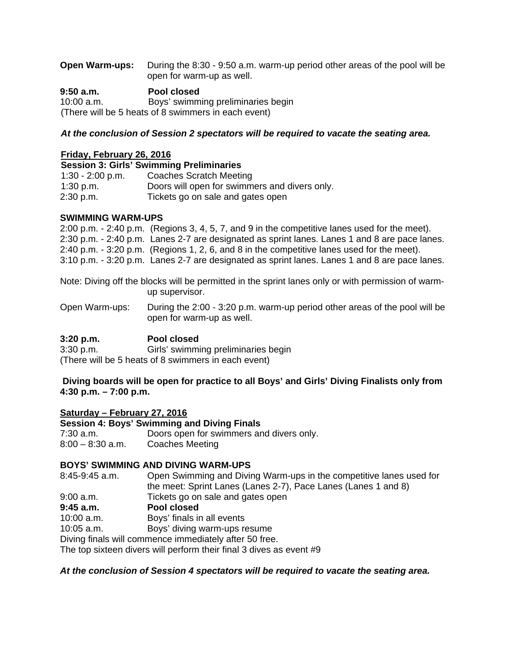| <b>Open Warm-ups:</b> During the 8:30 - 9:50 a.m. warm-up period other areas of the pool will be |
|--------------------------------------------------------------------------------------------------|
| open for warm-up as well.                                                                        |

**9:50 a.m. Pool closed**  10:00 a.m. Boys' swimming preliminaries begin (There will be 5 heats of 8 swimmers in each event)

## *At the conclusion of Session 2 spectators will be required to vacate the seating area.*

#### **Friday, February 26, 2016**

|                    | <b>Session 3: Girls' Swimming Preliminaries</b> |
|--------------------|-------------------------------------------------|
| $1:30 - 2:00$ p.m. | Coaches Scratch Meeting                         |
| $1:30$ p.m.        | Doors will open for swimmers and divers only.   |
| 2:30 p.m.          | Tickets go on sale and gates open               |

## **SWIMMING WARM-UPS**

2:00 p.m. - 2:40 p.m. (Regions 3, 4, 5, 7, and 9 in the competitive lanes used for the meet). 2:30 p.m. - 2:40 p.m. Lanes 2-7 are designated as sprint lanes. Lanes 1 and 8 are pace lanes. 2:40 p.m. - 3:20 p.m. (Regions 1, 2, 6, and 8 in the competitive lanes used for the meet). 3:10 p.m. - 3:20 p.m. Lanes 2-7 are designated as sprint lanes. Lanes 1 and 8 are pace lanes.

Note: Diving off the blocks will be permitted in the sprint lanes only or with permission of warmup supervisor.

Open Warm-ups: During the 2:00 - 3:20 p.m. warm-up period other areas of the pool will be open for warm-up as well.

# **3:20 p.m. Pool closed**

3:30 p.m. Girls' swimming preliminaries begin (There will be 5 heats of 8 swimmers in each event)

**Diving boards will be open for practice to all Boys' and Girls' Diving Finalists only from 4:30 p.m. – 7:00 p.m.** 

# **Saturday – February 27, 2016**

**Session 4: Boys' Swimming and Diving Finals**  7:30 a.m. Doors open for swimmers and divers only.

8:00 – 8:30 a.m. Coaches Meeting

# **BOYS' SWIMMING AND DIVING WARM-UPS**

8:45-9:45 a.m. Open Swimming and Diving Warm-ups in the competitive lanes used for the meet: Sprint Lanes (Lanes 2-7), Pace Lanes (Lanes 1 and 8)

9:00 a.m. Tickets go on sale and gates open

# **9:45 a.m. Pool closed**

10:00 a.m. Boys' finals in all events

10:05 a.m. Boys' diving warm-ups resume

Diving finals will commence immediately after 50 free.

The top sixteen divers will perform their final 3 dives as event #9

# *At the conclusion of Session 4 spectators will be required to vacate the seating area.*